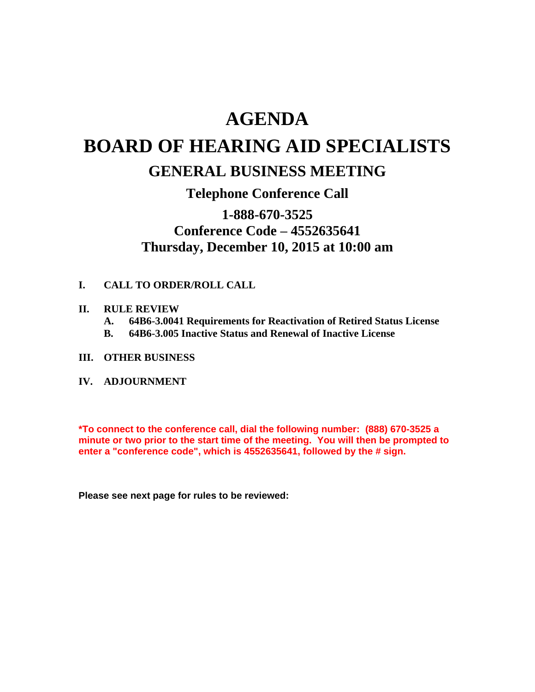# **AGENDA**

# **BOARD OF HEARING AID SPECIALISTS**

## **GENERAL BUSINESS MEETING**

### **Telephone Conference Call**

### **1-888-670-3525 Conference Code – 4552635641 Thursday, December 10, 2015 at 10:00 am**

#### **I. CALL TO ORDER/ROLL CALL**

#### **II. RULE REVIEW**

- **A. 64B6-3.0041 Requirements for Reactivation of Retired Status License**
- **B. 64B6-3.005 Inactive Status and Renewal of Inactive License**
- **III. OTHER BUSINESS**
- **IV. ADJOURNMENT**

**\*To connect to the conference call, dial the following number: (888) 670-3525 a minute or two prior to the start time of the meeting. You will then be prompted to enter a "conference code", which is 4552635641, followed by the # sign.** 

**Please see next page for rules to be reviewed:**